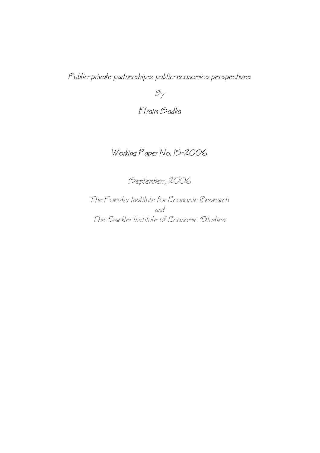Public−private partnerships: public−economics perspectives

 $B_y$ 

## Efraim Sadka

## Working Paper No. 15−2006

Septemberr, 2006

The Foerder Institute for Economic Research and The Sackler Institute of Economic Studies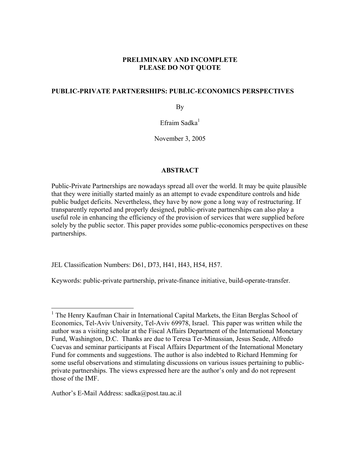## **PRELIMINARY AND INCOMPLETE PLEASE DO NOT QUOTE**

## **PUBLIC-PRIVATE PARTNERSHIPS: PUBLIC-ECONOMICS PERSPECTIVES**

By

Efraim Sadka $<sup>1</sup>$ </sup>

November 3, 2005

## **ABSTRACT**

Public-Private Partnerships are nowadays spread all over the world. It may be quite plausible that they were initially started mainly as an attempt to evade expenditure controls and hide public budget deficits. Nevertheless, they have by now gone a long way of restructuring. If transparently reported and properly designed, public-private partnerships can also play a useful role in enhancing the efficiency of the provision of services that were supplied before solely by the public sector. This paper provides some public-economics perspectives on these partnerships.

JEL Classification Numbers: D61, D73, H41, H43, H54, H57.

Keywords: public-private partnership, private-finance initiative, build-operate-transfer.

Author's E-Mail Address: sadka@post.tau.ac.il

<u>.</u>

<sup>&</sup>lt;sup>1</sup> The Henry Kaufman Chair in International Capital Markets, the Eitan Berglas School of Economics, Tel-Aviv University, Tel-Aviv 69978, Israel. This paper was written while the author was a visiting scholar at the Fiscal Affairs Department of the International Monetary Fund, Washington, D.C. Thanks are due to Teresa Ter-Minassian, Jesus Seade, Alfredo Cuevas and seminar participants at Fiscal Affairs Department of the International Monetary Fund for comments and suggestions. The author is also indebted to Richard Hemming for some useful observations and stimulating discussions on various issues pertaining to publicprivate partnerships. The views expressed here are the author's only and do not represent those of the IMF.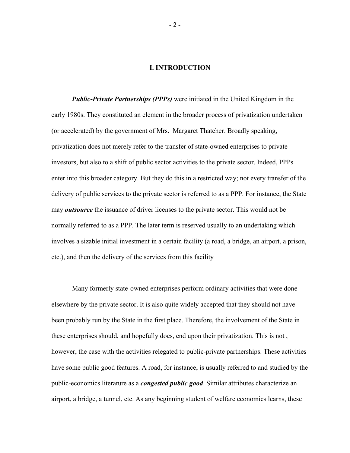#### **I. INTRODUCTION**

*Public-Private Partnerships (PPPs)* were initiated in the United Kingdom in the early 1980s. They constituted an element in the broader process of privatization undertaken (or accelerated) by the government of Mrs. Margaret Thatcher. Broadly speaking, privatization does not merely refer to the transfer of state-owned enterprises to private investors, but also to a shift of public sector activities to the private sector. Indeed, PPPs enter into this broader category. But they do this in a restricted way; not every transfer of the delivery of public services to the private sector is referred to as a PPP. For instance, the State may *outsource* the issuance of driver licenses to the private sector. This would not be normally referred to as a PPP. The later term is reserved usually to an undertaking which involves a sizable initial investment in a certain facility (a road, a bridge, an airport, a prison, etc.), and then the delivery of the services from this facility

Many formerly state-owned enterprises perform ordinary activities that were done elsewhere by the private sector. It is also quite widely accepted that they should not have been probably run by the State in the first place. Therefore, the involvement of the State in these enterprises should, and hopefully does, end upon their privatization. This is not , however, the case with the activities relegated to public-private partnerships. These activities have some public good features. A road, for instance, is usually referred to and studied by the public-economics literature as a *congested public good*. Similar attributes characterize an airport, a bridge, a tunnel, etc. As any beginning student of welfare economics learns, these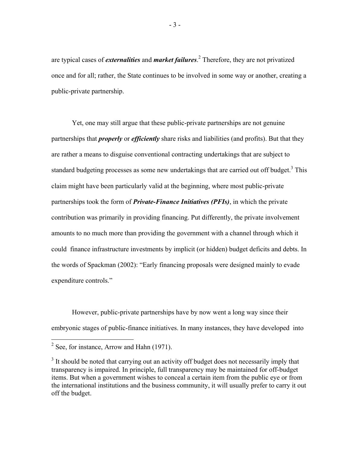are typical cases of *externalities* and *market failures*. 2 Therefore, they are not privatized once and for all; rather, the State continues to be involved in some way or another, creating a public-private partnership.

Yet, one may still argue that these public-private partnerships are not genuine partnerships that *properly* or *efficiently* share risks and liabilities (and profits). But that they are rather a means to disguise conventional contracting undertakings that are subject to standard budgeting processes as some new undertakings that are carried out off budget.<sup>3</sup> This claim might have been particularly valid at the beginning, where most public-private partnerships took the form of *Private-Finance Initiatives (PFIs)*, in which the private contribution was primarily in providing financing. Put differently, the private involvement amounts to no much more than providing the government with a channel through which it could finance infrastructure investments by implicit (or hidden) budget deficits and debts. In the words of Spackman (2002): "Early financing proposals were designed mainly to evade expenditure controls."

However, public-private partnerships have by now went a long way since their embryonic stages of public-finance initiatives. In many instances, they have developed into

 $\frac{1}{2}$  See, for instance, Arrow and Hahn (1971).

 $3$  It should be noted that carrying out an activity off budget does not necessarily imply that transparency is impaired. In principle, full transparency may be maintained for off-budget items. But when a government wishes to conceal a certain item from the public eye or from the international institutions and the business community, it will usually prefer to carry it out off the budget.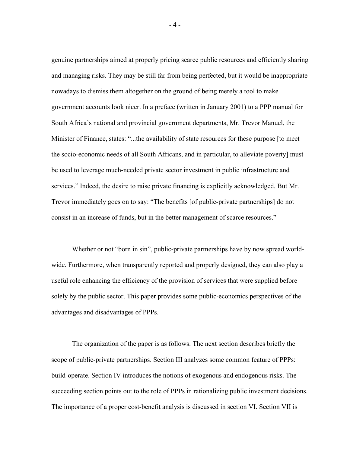genuine partnerships aimed at properly pricing scarce public resources and efficiently sharing and managing risks. They may be still far from being perfected, but it would be inappropriate nowadays to dismiss them altogether on the ground of being merely a tool to make government accounts look nicer. In a preface (written in January 2001) to a PPP manual for South Africa's national and provincial government departments, Mr. Trevor Manuel, the Minister of Finance, states: "...the availability of state resources for these purpose [to meet the socio-economic needs of all South Africans, and in particular, to alleviate poverty] must be used to leverage much-needed private sector investment in public infrastructure and services." Indeed, the desire to raise private financing is explicitly acknowledged. But Mr. Trevor immediately goes on to say: "The benefits [of public-private partnerships] do not consist in an increase of funds, but in the better management of scarce resources."

Whether or not "born in sin", public-private partnerships have by now spread worldwide. Furthermore, when transparently reported and properly designed, they can also play a useful role enhancing the efficiency of the provision of services that were supplied before solely by the public sector. This paper provides some public-economics perspectives of the advantages and disadvantages of PPPs.

The organization of the paper is as follows. The next section describes briefly the scope of public-private partnerships. Section III analyzes some common feature of PPPs: build-operate. Section IV introduces the notions of exogenous and endogenous risks. The succeeding section points out to the role of PPPs in rationalizing public investment decisions. The importance of a proper cost-benefit analysis is discussed in section VI. Section VII is

 $-4-$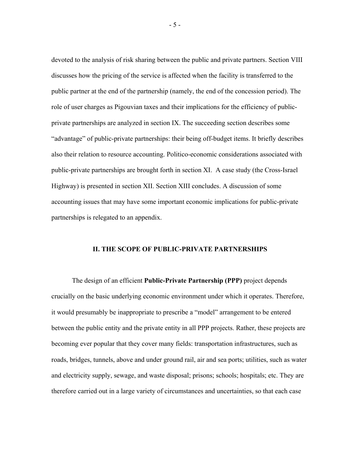devoted to the analysis of risk sharing between the public and private partners. Section VIII discusses how the pricing of the service is affected when the facility is transferred to the public partner at the end of the partnership (namely, the end of the concession period). The role of user charges as Pigouvian taxes and their implications for the efficiency of publicprivate partnerships are analyzed in section IX. The succeeding section describes some "advantage" of public-private partnerships: their being off-budget items. It briefly describes also their relation to resource accounting. Politico-economic considerations associated with public-private partnerships are brought forth in section XI. A case study (the Cross-Israel Highway) is presented in section XII. Section XIII concludes. A discussion of some accounting issues that may have some important economic implications for public-private partnerships is relegated to an appendix.

#### **II. THE SCOPE OF PUBLIC-PRIVATE PARTNERSHIPS**

The design of an efficient **Public-Private Partnership (PPP)** project depends crucially on the basic underlying economic environment under which it operates. Therefore, it would presumably be inappropriate to prescribe a "model" arrangement to be entered between the public entity and the private entity in all PPP projects. Rather, these projects are becoming ever popular that they cover many fields: transportation infrastructures, such as roads, bridges, tunnels, above and under ground rail, air and sea ports; utilities, such as water and electricity supply, sewage, and waste disposal; prisons; schools; hospitals; etc. They are therefore carried out in a large variety of circumstances and uncertainties, so that each case

 $-5 -$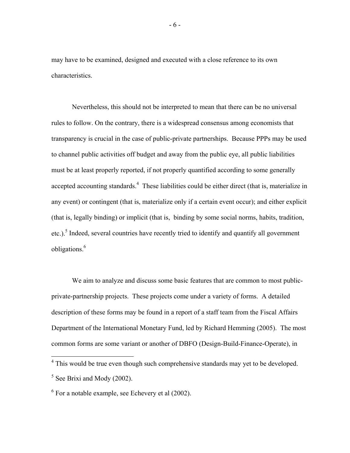may have to be examined, designed and executed with a close reference to its own characteristics.

Nevertheless, this should not be interpreted to mean that there can be no universal rules to follow. On the contrary, there is a widespread consensus among economists that transparency is crucial in the case of public-private partnerships. Because PPPs may be used to channel public activities off budget and away from the public eye, all public liabilities must be at least properly reported, if not properly quantified according to some generally accepted accounting standards.<sup>4</sup> These liabilities could be either direct (that is, materialize in any event) or contingent (that is, materialize only if a certain event occur); and either explicit (that is, legally binding) or implicit (that is, binding by some social norms, habits, tradition, etc.).<sup>5</sup> Indeed, several countries have recently tried to identify and quantify all government obligations.<sup>6</sup>

We aim to analyze and discuss some basic features that are common to most publicprivate-partnership projects. These projects come under a variety of forms. A detailed description of these forms may be found in a report of a staff team from the Fiscal Affairs Department of the International Monetary Fund, led by Richard Hemming (2005). The most common forms are some variant or another of DBFO (Design-Build-Finance-Operate), in

<sup>&</sup>lt;sup>4</sup> This would be true even though such comprehensive standards may yet to be developed.  $<sup>5</sup>$  See Brixi and Mody (2002).</sup>

 $6$  For a notable example, see Echevery et al (2002).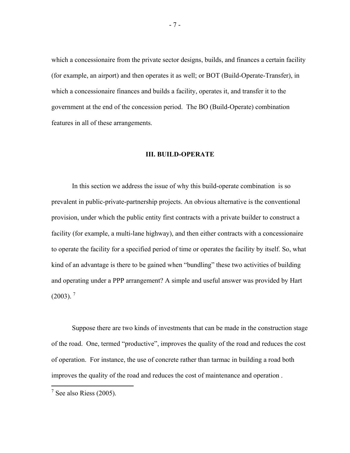which a concessionaire from the private sector designs, builds, and finances a certain facility (for example, an airport) and then operates it as well; or BOT (Build-Operate-Transfer), in which a concessionaire finances and builds a facility, operates it, and transfer it to the government at the end of the concession period. The BO (Build-Operate) combination features in all of these arrangements.

#### **III. BUILD-OPERATE**

In this section we address the issue of why this build-operate combination is so prevalent in public-private-partnership projects. An obvious alternative is the conventional provision, under which the public entity first contracts with a private builder to construct a facility (for example, a multi-lane highway), and then either contracts with a concessionaire to operate the facility for a specified period of time or operates the facility by itself. So, what kind of an advantage is there to be gained when "bundling" these two activities of building and operating under a PPP arrangement? A simple and useful answer was provided by Hart  $(2003)$ .<sup>7</sup>

Suppose there are two kinds of investments that can be made in the construction stage of the road. One, termed "productive", improves the quality of the road and reduces the cost of operation. For instance, the use of concrete rather than tarmac in building a road both improves the quality of the road and reduces the cost of maintenance and operation .

- 7 -

 $\frac{1}{7}$  See also Riess (2005).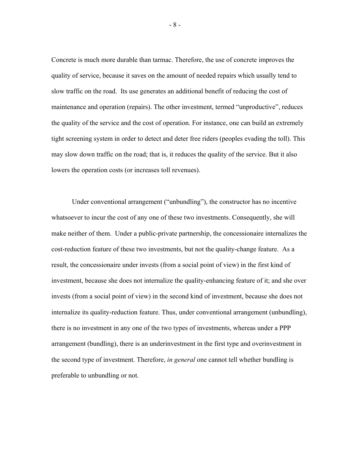Concrete is much more durable than tarmac. Therefore, the use of concrete improves the quality of service, because it saves on the amount of needed repairs which usually tend to slow traffic on the road. Its use generates an additional benefit of reducing the cost of maintenance and operation (repairs). The other investment, termed "unproductive", reduces the quality of the service and the cost of operation. For instance, one can build an extremely tight screening system in order to detect and deter free riders (peoples evading the toll). This may slow down traffic on the road; that is, it reduces the quality of the service. But it also lowers the operation costs (or increases toll revenues).

Under conventional arrangement ("unbundling"), the constructor has no incentive whatsoever to incur the cost of any one of these two investments. Consequently, she will make neither of them. Under a public-private partnership, the concessionaire internalizes the cost-reduction feature of these two investments, but not the quality-change feature. As a result, the concessionaire under invests (from a social point of view) in the first kind of investment, because she does not internalize the quality-enhancing feature of it; and she over invests (from a social point of view) in the second kind of investment, because she does not internalize its quality-reduction feature. Thus, under conventional arrangement (unbundling), there is no investment in any one of the two types of investments, whereas under a PPP arrangement (bundling), there is an underinvestment in the first type and overinvestment in the second type of investment. Therefore, *in general* one cannot tell whether bundling is preferable to unbundling or not.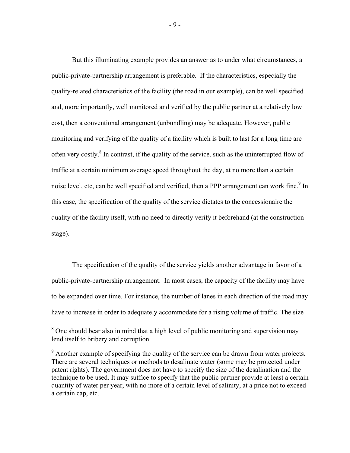But this illuminating example provides an answer as to under what circumstances, a public-private-partnership arrangement is preferable. If the characteristics, especially the quality-related characteristics of the facility (the road in our example), can be well specified and, more importantly, well monitored and verified by the public partner at a relatively low cost, then a conventional arrangement (unbundling) may be adequate. However, public monitoring and verifying of the quality of a facility which is built to last for a long time are often very costly.<sup>8</sup> In contrast, if the quality of the service, such as the uninterrupted flow of traffic at a certain minimum average speed throughout the day, at no more than a certain noise level, etc, can be well specified and verified, then a PPP arrangement can work fine.<sup>9</sup> In this case, the specification of the quality of the service dictates to the concessionaire the quality of the facility itself, with no need to directly verify it beforehand (at the construction stage).

The specification of the quality of the service yields another advantage in favor of a public-private-partnership arrangement. In most cases, the capacity of the facility may have to be expanded over time. For instance, the number of lanes in each direction of the road may have to increase in order to adequately accommodate for a rising volume of traffic. The size

<sup>&</sup>lt;sup>8</sup> One should bear also in mind that a high level of public monitoring and supervision may lend itself to bribery and corruption.

 $9^9$  Another example of specifying the quality of the service can be drawn from water projects. There are several techniques or methods to desalinate water (some may be protected under patent rights). The government does not have to specify the size of the desalination and the technique to be used. It may suffice to specify that the public partner provide at least a certain quantity of water per year, with no more of a certain level of salinity, at a price not to exceed a certain cap, etc.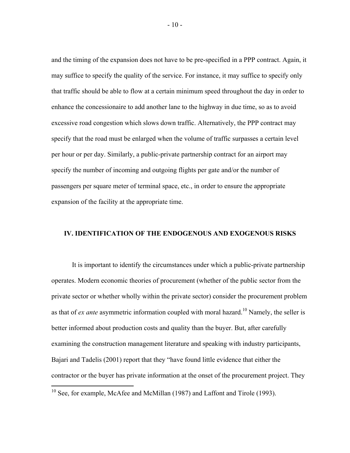and the timing of the expansion does not have to be pre-specified in a PPP contract. Again, it may suffice to specify the quality of the service. For instance, it may suffice to specify only that traffic should be able to flow at a certain minimum speed throughout the day in order to enhance the concessionaire to add another lane to the highway in due time, so as to avoid excessive road congestion which slows down traffic. Alternatively, the PPP contract may specify that the road must be enlarged when the volume of traffic surpasses a certain level per hour or per day. Similarly, a public-private partnership contract for an airport may specify the number of incoming and outgoing flights per gate and/or the number of passengers per square meter of terminal space, etc., in order to ensure the appropriate expansion of the facility at the appropriate time.

#### **IV. IDENTIFICATION OF THE ENDOGENOUS AND EXOGENOUS RISKS**

It is important to identify the circumstances under which a public-private partnership operates. Modern economic theories of procurement (whether of the public sector from the private sector or whether wholly within the private sector) consider the procurement problem as that of *ex ante* asymmetric information coupled with moral hazard.<sup>10</sup> Namely, the seller is better informed about production costs and quality than the buyer. But, after carefully examining the construction management literature and speaking with industry participants, Bajari and Tadelis (2001) report that they "have found little evidence that either the contractor or the buyer has private information at the onset of the procurement project. They

 $10$  See, for example, McAfee and McMillan (1987) and Laffont and Tirole (1993).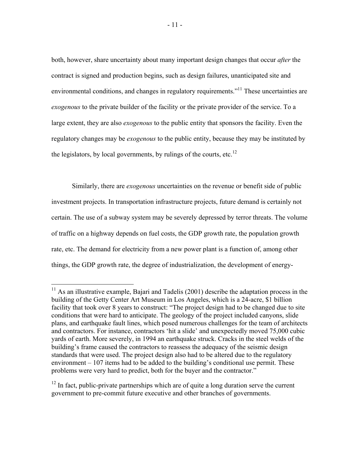both, however, share uncertainty about many important design changes that occur *after* the contract is signed and production begins, such as design failures, unanticipated site and environmental conditions, and changes in regulatory requirements.<sup>"11</sup> These uncertainties are *exogenous* to the private builder of the facility or the private provider of the service. To a large extent, they are also *exogenous* to the public entity that sponsors the facility. Even the regulatory changes may be *exogenous* to the public entity, because they may be instituted by the legislators, by local governments, by rulings of the courts, etc.<sup>12</sup>

Similarly, there are *exogenous* uncertainties on the revenue or benefit side of public investment projects. In transportation infrastructure projects, future demand is certainly not certain. The use of a subway system may be severely depressed by terror threats. The volume of traffic on a highway depends on fuel costs, the GDP growth rate, the population growth rate, etc. The demand for electricity from a new power plant is a function of, among other things, the GDP growth rate, the degree of industrialization, the development of energy-

 $\overline{a}$ 

 $12$  In fact, public-private partnerships which are of quite a long duration serve the current government to pre-commit future executive and other branches of governments.

 $11$  As an illustrative example, Bajari and Tadelis (2001) describe the adaptation process in the building of the Getty Center Art Museum in Los Angeles, which is a 24-acre, \$1 billion facility that took over 8 years to construct: "The project design had to be changed due to site conditions that were hard to anticipate. The geology of the project included canyons, slide plans, and earthquake fault lines, which posed numerous challenges for the team of architects and contractors. For instance, contractors 'hit a slide' and unexpectedly moved 75,000 cubic yards of earth. More severely, in 1994 an earthquake struck. Cracks in the steel welds of the building's frame caused the contractors to reassess the adequacy of the seismic design standards that were used. The project design also had to be altered due to the regulatory environment – 107 items had to be added to the building's conditional use permit. These problems were very hard to predict, both for the buyer and the contractor."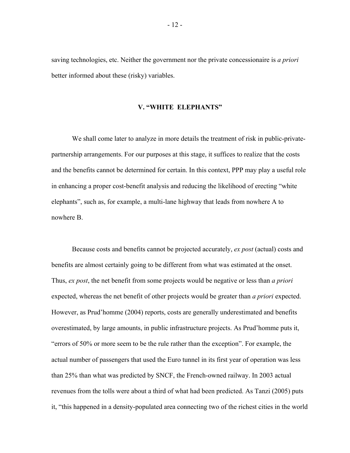saving technologies, etc. Neither the government nor the private concessionaire is *a priori* better informed about these (risky) variables.

#### **V. "WHITE ELEPHANTS"**

We shall come later to analyze in more details the treatment of risk in public-privatepartnership arrangements. For our purposes at this stage, it suffices to realize that the costs and the benefits cannot be determined for certain. In this context, PPP may play a useful role in enhancing a proper cost-benefit analysis and reducing the likelihood of erecting "white elephants", such as, for example, a multi-lane highway that leads from nowhere A to nowhere B.

Because costs and benefits cannot be projected accurately, *ex post* (actual) costs and benefits are almost certainly going to be different from what was estimated at the onset. Thus, *ex post*, the net benefit from some projects would be negative or less than *a priori* expected, whereas the net benefit of other projects would be greater than *a priori* expected. However, as Prud'homme (2004) reports, costs are generally underestimated and benefits overestimated, by large amounts, in public infrastructure projects. As Prud'homme puts it, "errors of 50% or more seem to be the rule rather than the exception". For example, the actual number of passengers that used the Euro tunnel in its first year of operation was less than 25% than what was predicted by SNCF, the French-owned railway. In 2003 actual revenues from the tolls were about a third of what had been predicted. As Tanzi (2005) puts it, "this happened in a density-populated area connecting two of the richest cities in the world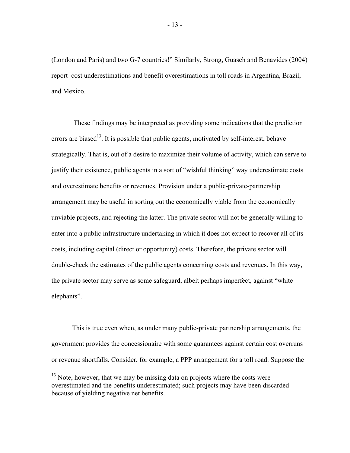(London and Paris) and two G-7 countries!" Similarly, Strong, Guasch and Benavides (2004) report cost underestimations and benefit overestimations in toll roads in Argentina, Brazil, and Mexico.

 These findings may be interpreted as providing some indications that the prediction errors are biased<sup>13</sup>. It is possible that public agents, motivated by self-interest, behave strategically. That is, out of a desire to maximize their volume of activity, which can serve to justify their existence, public agents in a sort of "wishful thinking" way underestimate costs and overestimate benefits or revenues. Provision under a public-private-partnership arrangement may be useful in sorting out the economically viable from the economically unviable projects, and rejecting the latter. The private sector will not be generally willing to enter into a public infrastructure undertaking in which it does not expect to recover all of its costs, including capital (direct or opportunity) costs. Therefore, the private sector will double-check the estimates of the public agents concerning costs and revenues. In this way, the private sector may serve as some safeguard, albeit perhaps imperfect, against "white elephants".

This is true even when, as under many public-private partnership arrangements, the government provides the concessionaire with some guarantees against certain cost overruns or revenue shortfalls. Consider, for example, a PPP arrangement for a toll road. Suppose the

 $13$  Note, however, that we may be missing data on projects where the costs were overestimated and the benefits underestimated; such projects may have been discarded because of yielding negative net benefits.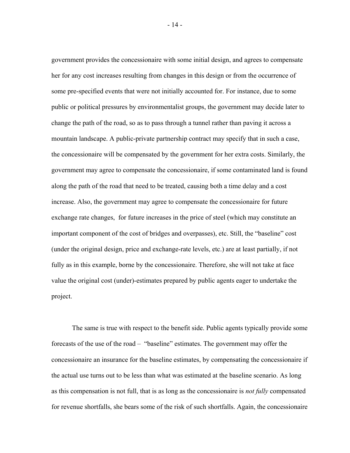government provides the concessionaire with some initial design, and agrees to compensate her for any cost increases resulting from changes in this design or from the occurrence of some pre-specified events that were not initially accounted for. For instance, due to some public or political pressures by environmentalist groups, the government may decide later to change the path of the road, so as to pass through a tunnel rather than paving it across a mountain landscape. A public-private partnership contract may specify that in such a case, the concessionaire will be compensated by the government for her extra costs. Similarly, the government may agree to compensate the concessionaire, if some contaminated land is found along the path of the road that need to be treated, causing both a time delay and a cost increase. Also, the government may agree to compensate the concessionaire for future exchange rate changes, for future increases in the price of steel (which may constitute an important component of the cost of bridges and overpasses), etc. Still, the "baseline" cost (under the original design, price and exchange-rate levels, etc.) are at least partially, if not fully as in this example, borne by the concessionaire. Therefore, she will not take at face value the original cost (under)-estimates prepared by public agents eager to undertake the project.

The same is true with respect to the benefit side. Public agents typically provide some forecasts of the use of the road – "baseline" estimates. The government may offer the concessionaire an insurance for the baseline estimates, by compensating the concessionaire if the actual use turns out to be less than what was estimated at the baseline scenario. As long as this compensation is not full, that is as long as the concessionaire is *not fully* compensated for revenue shortfalls, she bears some of the risk of such shortfalls. Again, the concessionaire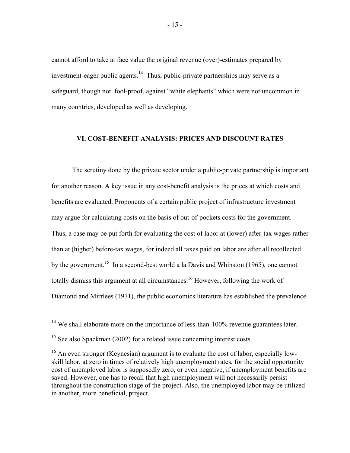cannot afford to take at face value the original revenue (over)-estimates prepared by investment-eager public agents.14 Thus, public-private partnerships may serve as a safeguard, though not fool-proof, against "white elephants" which were not uncommon in many countries, developed as well as developing.

### **VI. COST-BENEFIT ANALYSIS: PRICES AND DISCOUNT RATES**

The scrutiny done by the private sector under a public-private partnership is important for another reason. A key issue in any cost-benefit analysis is the prices at which costs and benefits are evaluated. Proponents of a certain public project of infrastructure investment may argue for calculating costs on the basis of out-of-pockets costs for the government. Thus, a case may be put forth for evaluating the cost of labor at (lower) after-tax wages rather than at (higher) before-tax wages, for indeed all taxes paid on labor are after all recollected by the government.<sup>15</sup> In a second-best world a la Davis and Whinston (1965), one cannot totally dismiss this argument at all circumstances.<sup>16</sup> However, following the work of Diamond and Mirrlees (1971), the public economics literature has established the prevalence

 $14$  We shall elaborate more on the importance of less-than-100% revenue guarantees later.

<sup>&</sup>lt;sup>15</sup> See also Spackman (2002) for a related issue concerning interest costs.

<sup>&</sup>lt;sup>16</sup> An even stronger (Keynesian) argument is to evaluate the cost of labor, especially lowskill labor, at zero in times of relatively high unemployment rates, for the social opportunity cost of unemployed labor is supposedly zero, or even negative, if unemployment benefits are saved. However, one has to recall that high unemployment will not necessarily persist throughout the construction stage of the project. Also, the unemployed labor may be utilized in another, more beneficial, project.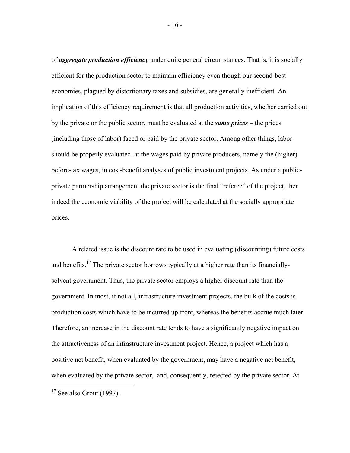of *aggregate production efficiency* under quite general circumstances. That is, it is socially efficient for the production sector to maintain efficiency even though our second-best economies, plagued by distortionary taxes and subsidies, are generally inefficient. An implication of this efficiency requirement is that all production activities, whether carried out by the private or the public sector, must be evaluated at the *same prices* – the prices (including those of labor) faced or paid by the private sector. Among other things, labor should be properly evaluated at the wages paid by private producers, namely the (higher) before-tax wages, in cost-benefit analyses of public investment projects. As under a publicprivate partnership arrangement the private sector is the final "referee" of the project, then indeed the economic viability of the project will be calculated at the socially appropriate prices.

A related issue is the discount rate to be used in evaluating (discounting) future costs and benefits.<sup>17</sup> The private sector borrows typically at a higher rate than its financiallysolvent government. Thus, the private sector employs a higher discount rate than the government. In most, if not all, infrastructure investment projects, the bulk of the costs is production costs which have to be incurred up front, whereas the benefits accrue much later. Therefore, an increase in the discount rate tends to have a significantly negative impact on the attractiveness of an infrastructure investment project. Hence, a project which has a positive net benefit, when evaluated by the government, may have a negative net benefit, when evaluated by the private sector, and, consequently, rejected by the private sector. At

 $17$  See also Grout (1997).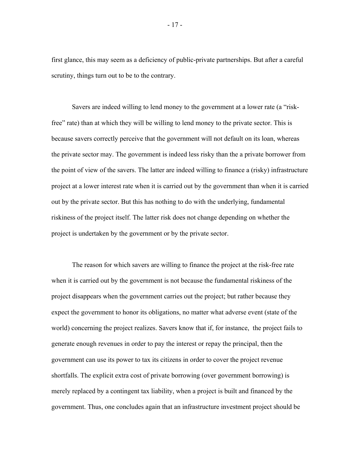first glance, this may seem as a deficiency of public-private partnerships. But after a careful scrutiny, things turn out to be to the contrary.

Savers are indeed willing to lend money to the government at a lower rate (a "riskfree" rate) than at which they will be willing to lend money to the private sector. This is because savers correctly perceive that the government will not default on its loan, whereas the private sector may. The government is indeed less risky than the a private borrower from the point of view of the savers. The latter are indeed willing to finance a (risky) infrastructure project at a lower interest rate when it is carried out by the government than when it is carried out by the private sector. But this has nothing to do with the underlying, fundamental riskiness of the project itself. The latter risk does not change depending on whether the project is undertaken by the government or by the private sector.

The reason for which savers are willing to finance the project at the risk-free rate when it is carried out by the government is not because the fundamental riskiness of the project disappears when the government carries out the project; but rather because they expect the government to honor its obligations, no matter what adverse event (state of the world) concerning the project realizes. Savers know that if, for instance, the project fails to generate enough revenues in order to pay the interest or repay the principal, then the government can use its power to tax its citizens in order to cover the project revenue shortfalls. The explicit extra cost of private borrowing (over government borrowing) is merely replaced by a contingent tax liability, when a project is built and financed by the government. Thus, one concludes again that an infrastructure investment project should be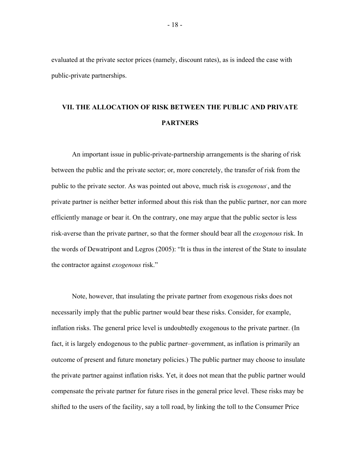evaluated at the private sector prices (namely, discount rates), as is indeed the case with public-private partnerships.

# **VII. THE ALLOCATION OF RISK BETWEEN THE PUBLIC AND PRIVATE PARTNERS**

An important issue in public-private-partnership arrangements is the sharing of risk between the public and the private sector; or, more concretely, the transfer of risk from the public to the private sector. As was pointed out above, much risk is *exogenous.* , and the private partner is neither better informed about this risk than the public partner, nor can more efficiently manage or bear it. On the contrary, one may argue that the public sector is less risk-averse than the private partner, so that the former should bear all the *exogenous* risk. In the words of Dewatripont and Legros (2005): "It is thus in the interest of the State to insulate the contractor against *exogenous* risk."

Note, however, that insulating the private partner from exogenous risks does not necessarily imply that the public partner would bear these risks. Consider, for example, inflation risks. The general price level is undoubtedly exogenous to the private partner. (In fact, it is largely endogenous to the public partner–government, as inflation is primarily an outcome of present and future monetary policies.) The public partner may choose to insulate the private partner against inflation risks. Yet, it does not mean that the public partner would compensate the private partner for future rises in the general price level. These risks may be shifted to the users of the facility, say a toll road, by linking the toll to the Consumer Price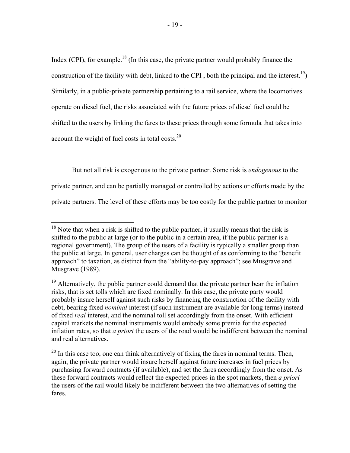Index (CPI), for example.<sup>18</sup> (In this case, the private partner would probably finance the construction of the facility with debt, linked to the CPI, both the principal and the interest.<sup>19</sup>) Similarly, in a public-private partnership pertaining to a rail service, where the locomotives operate on diesel fuel, the risks associated with the future prices of diesel fuel could be shifted to the users by linking the fares to these prices through some formula that takes into account the weight of fuel costs in total costs. $^{20}$ 

But not all risk is exogenous to the private partner. Some risk is *endogenous* to the

private partner, and can be partially managed or controlled by actions or efforts made by the

private partners. The level of these efforts may be too costly for the public partner to monitor

<u>.</u>

 $18$  Note that when a risk is shifted to the public partner, it usually means that the risk is shifted to the public at large (or to the public in a certain area, if the public partner is a regional government). The group of the users of a facility is typically a smaller group than the public at large. In general, user charges can be thought of as conforming to the "benefit approach" to taxation, as distinct from the "ability-to-pay approach"; see Musgrave and Musgrave (1989).

<sup>&</sup>lt;sup>19</sup> Alternatively, the public partner could demand that the private partner bear the inflation risks, that is set tolls which are fixed nominally. In this case, the private party would probably insure herself against such risks by financing the construction of the facility with debt, bearing fixed *nominal* interest (if such instrument are available for long terms) instead of fixed *real* interest, and the nominal toll set accordingly from the onset. With efficient capital markets the nominal instruments would embody some premia for the expected inflation rates, so that *a priori* the users of the road would be indifferent between the nominal and real alternatives.

 $20$  In this case too, one can think alternatively of fixing the fares in nominal terms. Then, again, the private partner would insure herself against future increases in fuel prices by purchasing forward contracts (if available), and set the fares accordingly from the onset. As these forward contracts would reflect the expected prices in the spot markets, then *a priori*  the users of the rail would likely be indifferent between the two alternatives of setting the fares.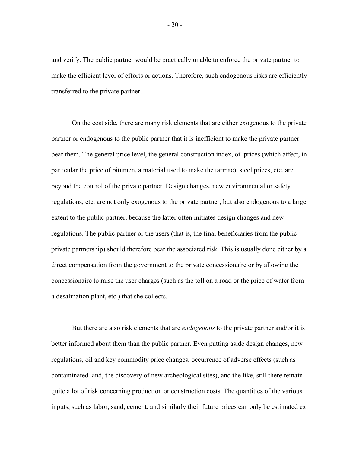and verify. The public partner would be practically unable to enforce the private partner to make the efficient level of efforts or actions. Therefore, such endogenous risks are efficiently transferred to the private partner.

On the cost side, there are many risk elements that are either exogenous to the private partner or endogenous to the public partner that it is inefficient to make the private partner bear them. The general price level, the general construction index, oil prices (which affect, in particular the price of bitumen, a material used to make the tarmac), steel prices, etc. are beyond the control of the private partner. Design changes, new environmental or safety regulations, etc. are not only exogenous to the private partner, but also endogenous to a large extent to the public partner, because the latter often initiates design changes and new regulations. The public partner or the users (that is, the final beneficiaries from the publicprivate partnership) should therefore bear the associated risk. This is usually done either by a direct compensation from the government to the private concessionaire or by allowing the concessionaire to raise the user charges (such as the toll on a road or the price of water from a desalination plant, etc.) that she collects.

But there are also risk elements that are *endogenous* to the private partner and/or it is better informed about them than the public partner. Even putting aside design changes, new regulations, oil and key commodity price changes, occurrence of adverse effects (such as contaminated land, the discovery of new archeological sites), and the like, still there remain quite a lot of risk concerning production or construction costs. The quantities of the various inputs, such as labor, sand, cement, and similarly their future prices can only be estimated ex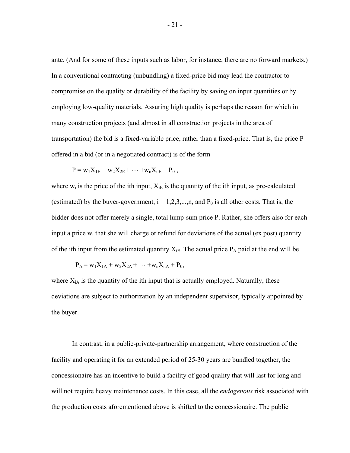ante. (And for some of these inputs such as labor, for instance, there are no forward markets.) In a conventional contracting (unbundling) a fixed-price bid may lead the contractor to compromise on the quality or durability of the facility by saving on input quantities or by employing low-quality materials. Assuring high quality is perhaps the reason for which in many construction projects (and almost in all construction projects in the area of transportation) the bid is a fixed-variable price, rather than a fixed-price. That is, the price P offered in a bid (or in a negotiated contract) is of the form

$$
P = w_1 X_{1E} + w_2 X_{2E} + \cdots + w_n X_{nE} + P_0 ,
$$

where  $w_i$  is the price of the ith input,  $X_{iE}$  is the quantity of the ith input, as pre-calculated (estimated) by the buyer-government,  $i = 1, 2, 3, \dots, n$ , and  $P_0$  is all other costs. That is, the bidder does not offer merely a single, total lump-sum price P. Rather, she offers also for each input a price  $w_i$  that she will charge or refund for deviations of the actual (ex post) quantity of the ith input from the estimated quantity  $X_{iE}$ . The actual price  $P_A$  paid at the end will be

$$
P_A = w_1 X_{1A} + w_2 X_{2A} + \cdots + w_n X_{nA} + P_0,
$$

where  $X_{iA}$  is the quantity of the ith input that is actually employed. Naturally, these deviations are subject to authorization by an independent supervisor, typically appointed by the buyer.

In contrast, in a public-private-partnership arrangement, where construction of the facility and operating it for an extended period of 25-30 years are bundled together, the concessionaire has an incentive to build a facility of good quality that will last for long and will not require heavy maintenance costs. In this case, all the *endogenous* risk associated with the production costs aforementioned above is shifted to the concessionaire. The public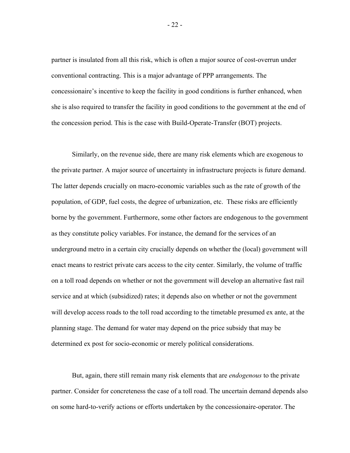partner is insulated from all this risk, which is often a major source of cost-overrun under conventional contracting. This is a major advantage of PPP arrangements. The concessionaire's incentive to keep the facility in good conditions is further enhanced, when she is also required to transfer the facility in good conditions to the government at the end of the concession period. This is the case with Build-Operate-Transfer (BOT) projects.

Similarly, on the revenue side, there are many risk elements which are exogenous to the private partner. A major source of uncertainty in infrastructure projects is future demand. The latter depends crucially on macro-economic variables such as the rate of growth of the population, of GDP, fuel costs, the degree of urbanization, etc. These risks are efficiently borne by the government. Furthermore, some other factors are endogenous to the government as they constitute policy variables. For instance, the demand for the services of an underground metro in a certain city crucially depends on whether the (local) government will enact means to restrict private cars access to the city center. Similarly, the volume of traffic on a toll road depends on whether or not the government will develop an alternative fast rail service and at which (subsidized) rates; it depends also on whether or not the government will develop access roads to the toll road according to the timetable presumed ex ante, at the planning stage. The demand for water may depend on the price subsidy that may be determined ex post for socio-economic or merely political considerations.

But, again, there still remain many risk elements that are *endogenous* to the private partner. Consider for concreteness the case of a toll road. The uncertain demand depends also on some hard-to-verify actions or efforts undertaken by the concessionaire-operator. The

- 22 -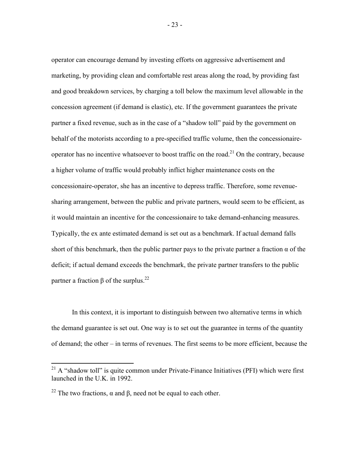operator can encourage demand by investing efforts on aggressive advertisement and marketing, by providing clean and comfortable rest areas along the road, by providing fast and good breakdown services, by charging a toll below the maximum level allowable in the concession agreement (if demand is elastic), etc. If the government guarantees the private partner a fixed revenue, such as in the case of a "shadow toll" paid by the government on behalf of the motorists according to a pre-specified traffic volume, then the concessionaireoperator has no incentive whatsoever to boost traffic on the road.<sup>21</sup> On the contrary, because a higher volume of traffic would probably inflict higher maintenance costs on the concessionaire-operator, she has an incentive to depress traffic. Therefore, some revenuesharing arrangement, between the public and private partners, would seem to be efficient, as it would maintain an incentive for the concessionaire to take demand-enhancing measures. Typically, the ex ante estimated demand is set out as a benchmark. If actual demand falls short of this benchmark, then the public partner pays to the private partner a fraction  $\alpha$  of the deficit; if actual demand exceeds the benchmark, the private partner transfers to the public partner a fraction  $\beta$  of the surplus.<sup>22</sup>

In this context, it is important to distinguish between two alternative terms in which the demand guarantee is set out. One way is to set out the guarantee in terms of the quantity of demand; the other – in terms of revenues. The first seems to be more efficient, because the

 $^{21}$  A "shadow toll" is quite common under Private-Finance Initiatives (PFI) which were first launched in the U.K. in 1992.

<sup>&</sup>lt;sup>22</sup> The two fractions,  $\alpha$  and  $\beta$ , need not be equal to each other.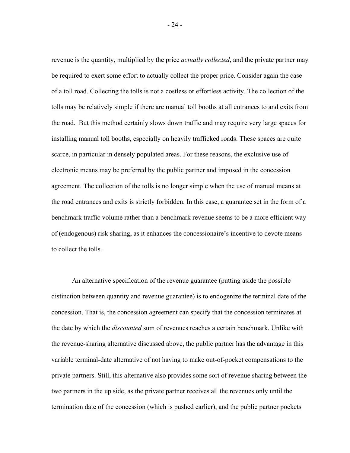revenue is the quantity, multiplied by the price *actually collected*, and the private partner may be required to exert some effort to actually collect the proper price. Consider again the case of a toll road. Collecting the tolls is not a costless or effortless activity. The collection of the tolls may be relatively simple if there are manual toll booths at all entrances to and exits from the road. But this method certainly slows down traffic and may require very large spaces for installing manual toll booths, especially on heavily trafficked roads. These spaces are quite scarce, in particular in densely populated areas. For these reasons, the exclusive use of electronic means may be preferred by the public partner and imposed in the concession agreement. The collection of the tolls is no longer simple when the use of manual means at the road entrances and exits is strictly forbidden. In this case, a guarantee set in the form of a benchmark traffic volume rather than a benchmark revenue seems to be a more efficient way of (endogenous) risk sharing, as it enhances the concessionaire's incentive to devote means to collect the tolls.

An alternative specification of the revenue guarantee (putting aside the possible distinction between quantity and revenue guarantee) is to endogenize the terminal date of the concession. That is, the concession agreement can specify that the concession terminates at the date by which the *discounted* sum of revenues reaches a certain benchmark. Unlike with the revenue-sharing alternative discussed above, the public partner has the advantage in this variable terminal-date alternative of not having to make out-of-pocket compensations to the private partners. Still, this alternative also provides some sort of revenue sharing between the two partners in the up side, as the private partner receives all the revenues only until the termination date of the concession (which is pushed earlier), and the public partner pockets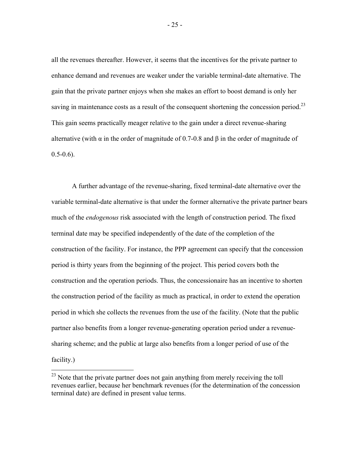all the revenues thereafter. However, it seems that the incentives for the private partner to enhance demand and revenues are weaker under the variable terminal-date alternative. The gain that the private partner enjoys when she makes an effort to boost demand is only her saving in maintenance costs as a result of the consequent shortening the concession period.<sup>23</sup> This gain seems practically meager relative to the gain under a direct revenue-sharing alternative (with  $\alpha$  in the order of magnitude of 0.7-0.8 and  $\beta$  in the order of magnitude of  $0.5-0.6$ ).

A further advantage of the revenue-sharing, fixed terminal-date alternative over the variable terminal-date alternative is that under the former alternative the private partner bears much of the *endogenous* risk associated with the length of construction period. The fixed terminal date may be specified independently of the date of the completion of the construction of the facility. For instance, the PPP agreement can specify that the concession period is thirty years from the beginning of the project. This period covers both the construction and the operation periods. Thus, the concessionaire has an incentive to shorten the construction period of the facility as much as practical, in order to extend the operation period in which she collects the revenues from the use of the facility. (Note that the public partner also benefits from a longer revenue-generating operation period under a revenuesharing scheme; and the public at large also benefits from a longer period of use of the facility.)

 $^{23}$  Note that the private partner does not gain anything from merely receiving the toll revenues earlier, because her benchmark revenues (for the determination of the concession terminal date) are defined in present value terms.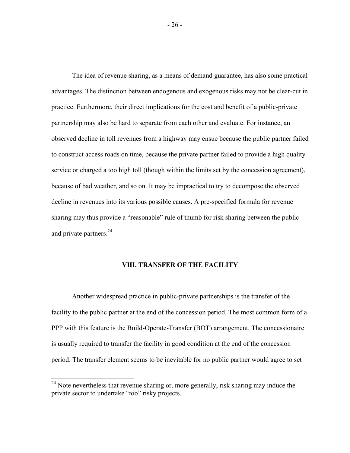The idea of revenue sharing, as a means of demand guarantee, has also some practical advantages. The distinction between endogenous and exogenous risks may not be clear-cut in practice. Furthermore, their direct implications for the cost and benefit of a public-private partnership may also be hard to separate from each other and evaluate. For instance, an observed decline in toll revenues from a highway may ensue because the public partner failed to construct access roads on time, because the private partner failed to provide a high quality service or charged a too high toll (though within the limits set by the concession agreement), because of bad weather, and so on. It may be impractical to try to decompose the observed decline in revenues into its various possible causes. A pre-specified formula for revenue sharing may thus provide a "reasonable" rule of thumb for risk sharing between the public and private partners.<sup>24</sup>

#### **VIII. TRANSFER OF THE FACILITY**

Another widespread practice in public-private partnerships is the transfer of the facility to the public partner at the end of the concession period. The most common form of a PPP with this feature is the Build-Operate-Transfer (BOT) arrangement. The concessionaire is usually required to transfer the facility in good condition at the end of the concession period. The transfer element seems to be inevitable for no public partner would agree to set

 $24$  Note nevertheless that revenue sharing or, more generally, risk sharing may induce the private sector to undertake "too" risky projects.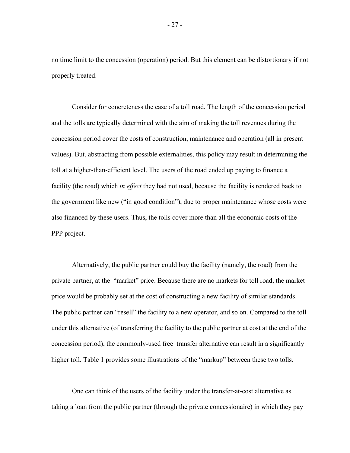no time limit to the concession (operation) period. But this element can be distortionary if not properly treated.

Consider for concreteness the case of a toll road. The length of the concession period and the tolls are typically determined with the aim of making the toll revenues during the concession period cover the costs of construction, maintenance and operation (all in present values). But, abstracting from possible externalities, this policy may result in determining the toll at a higher-than-efficient level. The users of the road ended up paying to finance a facility (the road) which *in effect* they had not used, because the facility is rendered back to the government like new ("in good condition"), due to proper maintenance whose costs were also financed by these users. Thus, the tolls cover more than all the economic costs of the PPP project.

Alternatively, the public partner could buy the facility (namely, the road) from the private partner, at the "market" price. Because there are no markets for toll road, the market price would be probably set at the cost of constructing a new facility of similar standards. The public partner can "resell" the facility to a new operator, and so on. Compared to the toll under this alternative (of transferring the facility to the public partner at cost at the end of the concession period), the commonly-used free transfer alternative can result in a significantly higher toll. Table 1 provides some illustrations of the "markup" between these two tolls.

One can think of the users of the facility under the transfer-at-cost alternative as taking a loan from the public partner (through the private concessionaire) in which they pay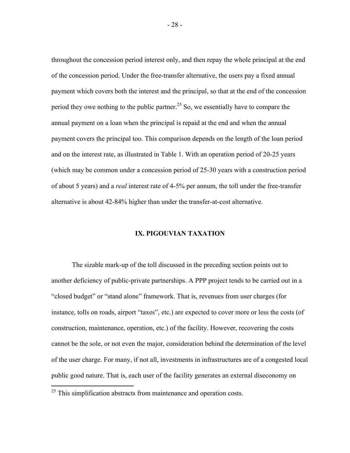throughout the concession period interest only, and then repay the whole principal at the end of the concession period. Under the free-transfer alternative, the users pay a fixed annual payment which covers both the interest and the principal, so that at the end of the concession period they owe nothing to the public partner.<sup>25</sup> So, we essentially have to compare the annual payment on a loan when the principal is repaid at the end and when the annual payment covers the principal too. This comparison depends on the length of the loan period and on the interest rate, as illustrated in Table 1. With an operation period of 20-25 years (which may be common under a concession period of 25-30 years with a construction period of about 5 years) and a *real* interest rate of 4-5% per annum, the toll under the free-transfer alternative is about 42-84% higher than under the transfer-at-cost alternative.

#### **IX. PIGOUVIAN TAXATION**

The sizable mark-up of the toll discussed in the preceding section points out to another deficiency of public-private partnerships. A PPP project tends to be carried out in a "closed budget" or "stand alone" framework. That is, revenues from user charges (for instance, tolls on roads, airport "taxes", etc.) are expected to cover more or less the costs (of construction, maintenance, operation, etc.) of the facility. However, recovering the costs cannot be the sole, or not even the major, consideration behind the determination of the level of the user charge. For many, if not all, investments in infrastructures are of a congested local public good nature. That is, each user of the facility generates an external diseconomy on

 $25$  This simplification abstracts from maintenance and operation costs.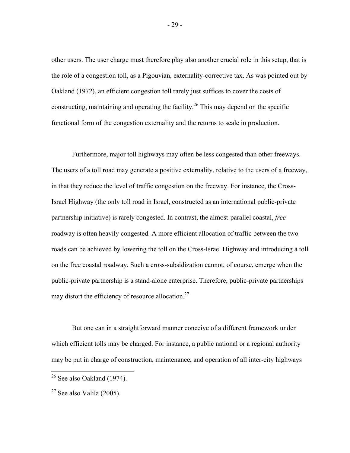other users. The user charge must therefore play also another crucial role in this setup, that is the role of a congestion toll, as a Pigouvian, externality-corrective tax. As was pointed out by Oakland (1972), an efficient congestion toll rarely just suffices to cover the costs of constructing, maintaining and operating the facility.<sup>26</sup> This may depend on the specific functional form of the congestion externality and the returns to scale in production.

Furthermore, major toll highways may often be less congested than other freeways. The users of a toll road may generate a positive externality, relative to the users of a freeway, in that they reduce the level of traffic congestion on the freeway. For instance, the Cross-Israel Highway (the only toll road in Israel, constructed as an international public-private partnership initiative) is rarely congested. In contrast, the almost-parallel coastal, *free* roadway is often heavily congested. A more efficient allocation of traffic between the two roads can be achieved by lowering the toll on the Cross-Israel Highway and introducing a toll on the free coastal roadway. Such a cross-subsidization cannot, of course, emerge when the public-private partnership is a stand-alone enterprise. Therefore, public-private partnerships may distort the efficiency of resource allocation.<sup>27</sup>

But one can in a straightforward manner conceive of a different framework under which efficient tolls may be charged. For instance, a public national or a regional authority may be put in charge of construction, maintenance, and operation of all inter-city highways

 $\overline{a}$ 

- 29 -

 $26$  See also Oakland (1974).

 $27$  See also Valila (2005).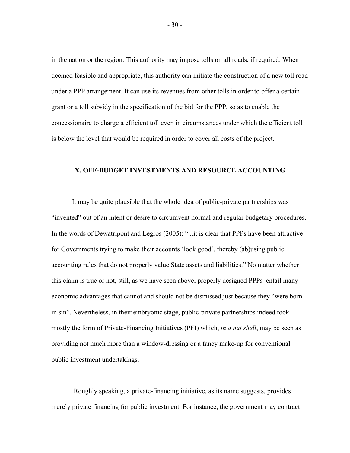in the nation or the region. This authority may impose tolls on all roads, if required. When deemed feasible and appropriate, this authority can initiate the construction of a new toll road under a PPP arrangement. It can use its revenues from other tolls in order to offer a certain grant or a toll subsidy in the specification of the bid for the PPP, so as to enable the concessionaire to charge a efficient toll even in circumstances under which the efficient toll is below the level that would be required in order to cover all costs of the project.

#### **X. OFF-BUDGET INVESTMENTS AND RESOURCE ACCOUNTING**

It may be quite plausible that the whole idea of public-private partnerships was "invented" out of an intent or desire to circumvent normal and regular budgetary procedures. In the words of Dewatripont and Legros (2005): "...it is clear that PPPs have been attractive for Governments trying to make their accounts 'look good', thereby (ab)using public accounting rules that do not properly value State assets and liabilities." No matter whether this claim is true or not, still, as we have seen above, properly designed PPPs entail many economic advantages that cannot and should not be dismissed just because they "were born in sin". Nevertheless, in their embryonic stage, public-private partnerships indeed took mostly the form of Private-Financing Initiatives (PFI) which, *in a nut shell*, may be seen as providing not much more than a window-dressing or a fancy make-up for conventional public investment undertakings.

 Roughly speaking, a private-financing initiative, as its name suggests, provides merely private financing for public investment. For instance, the government may contract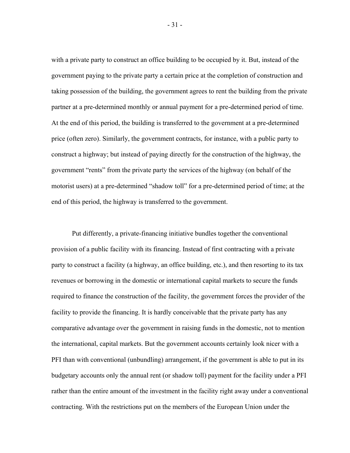with a private party to construct an office building to be occupied by it. But, instead of the government paying to the private party a certain price at the completion of construction and taking possession of the building, the government agrees to rent the building from the private partner at a pre-determined monthly or annual payment for a pre-determined period of time. At the end of this period, the building is transferred to the government at a pre-determined price (often zero). Similarly, the government contracts, for instance, with a public party to construct a highway; but instead of paying directly for the construction of the highway, the government "rents" from the private party the services of the highway (on behalf of the motorist users) at a pre-determined "shadow toll" for a pre-determined period of time; at the end of this period, the highway is transferred to the government.

Put differently, a private-financing initiative bundles together the conventional provision of a public facility with its financing. Instead of first contracting with a private party to construct a facility (a highway, an office building, etc.), and then resorting to its tax revenues or borrowing in the domestic or international capital markets to secure the funds required to finance the construction of the facility, the government forces the provider of the facility to provide the financing. It is hardly conceivable that the private party has any comparative advantage over the government in raising funds in the domestic, not to mention the international, capital markets. But the government accounts certainly look nicer with a PFI than with conventional (unbundling) arrangement, if the government is able to put in its budgetary accounts only the annual rent (or shadow toll) payment for the facility under a PFI rather than the entire amount of the investment in the facility right away under a conventional contracting. With the restrictions put on the members of the European Union under the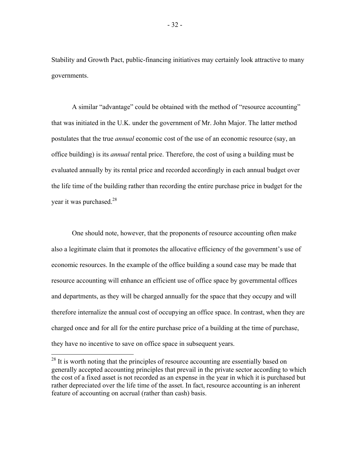Stability and Growth Pact, public-financing initiatives may certainly look attractive to many governments.

A similar "advantage" could be obtained with the method of "resource accounting" that was initiated in the U.K. under the government of Mr. John Major. The latter method postulates that the true *annual* economic cost of the use of an economic resource (say, an office building) is its *annual* rental price. Therefore, the cost of using a building must be evaluated annually by its rental price and recorded accordingly in each annual budget over the life time of the building rather than recording the entire purchase price in budget for the year it was purchased.<sup>28</sup>

One should note, however, that the proponents of resource accounting often make also a legitimate claim that it promotes the allocative efficiency of the government's use of economic resources. In the example of the office building a sound case may be made that resource accounting will enhance an efficient use of office space by governmental offices and departments, as they will be charged annually for the space that they occupy and will therefore internalize the annual cost of occupying an office space. In contrast, when they are charged once and for all for the entire purchase price of a building at the time of purchase, they have no incentive to save on office space in subsequent years.

<u>.</u>

 $^{28}$  It is worth noting that the principles of resource accounting are essentially based on generally accepted accounting principles that prevail in the private sector according to which the cost of a fixed asset is not recorded as an expense in the year in which it is purchased but rather depreciated over the life time of the asset. In fact, resource accounting is an inherent feature of accounting on accrual (rather than cash) basis.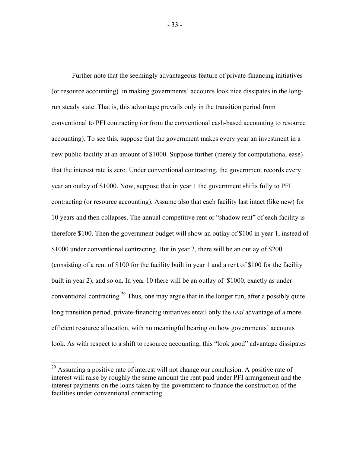Further note that the seemingly advantageous feature of private-financing initiatives (or resource accounting) in making governments' accounts look nice dissipates in the longrun steady state. That is, this advantage prevails only in the transition period from conventional to PFI contracting (or from the conventional cash-based accounting to resource accounting). To see this, suppose that the government makes every year an investment in a new public facility at an amount of \$1000. Suppose further (merely for computational ease) that the interest rate is zero. Under conventional contracting, the government records every year an outlay of \$1000. Now, suppose that in year 1 the government shifts fully to PFI contracting (or resource accounting). Assume also that each facility last intact (like new) for 10 years and then collapses. The annual competitive rent or "shadow rent" of each facility is therefore \$100. Then the government budget will show an outlay of \$100 in year 1, instead of \$1000 under conventional contracting. But in year 2, there will be an outlay of \$200 (consisting of a rent of \$100 for the facility built in year 1 and a rent of \$100 for the facility built in year 2), and so on. In year 10 there will be an outlay of \$1000, exactly as under conventional contracting.<sup>29</sup> Thus, one may argue that in the longer run, after a possibly quite long transition period, private-financing initiatives entail only the *real* advantage of a more efficient resource allocation, with no meaningful bearing on how governments' accounts look. As with respect to a shift to resource accounting, this "look good" advantage dissipates

1

<sup>&</sup>lt;sup>29</sup> Assuming a positive rate of interest will not change our conclusion. A positive rate of interest will raise by roughly the same amount the rent paid under PFI arrangement and the interest payments on the loans taken by the government to finance the construction of the facilities under conventional contracting.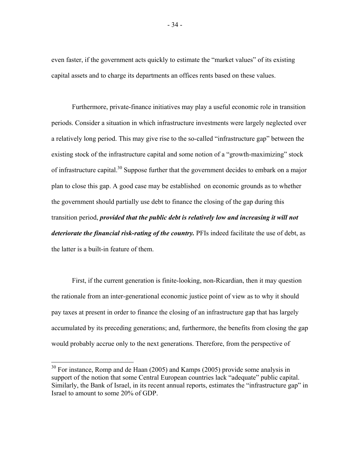even faster, if the government acts quickly to estimate the "market values" of its existing capital assets and to charge its departments an offices rents based on these values.

Furthermore, private-finance initiatives may play a useful economic role in transition periods. Consider a situation in which infrastructure investments were largely neglected over a relatively long period. This may give rise to the so-called "infrastructure gap" between the existing stock of the infrastructure capital and some notion of a "growth-maximizing" stock of infrastructure capital.<sup>30</sup> Suppose further that the government decides to embark on a major plan to close this gap. A good case may be established on economic grounds as to whether the government should partially use debt to finance the closing of the gap during this transition period, *provided that the public debt is relatively low and increasing it will not deteriorate the financial risk-rating of the country.* PFIs indeed facilitate the use of debt, as the latter is a built-in feature of them.

First, if the current generation is finite-looking, non-Ricardian, then it may question the rationale from an inter-generational economic justice point of view as to why it should pay taxes at present in order to finance the closing of an infrastructure gap that has largely accumulated by its preceding generations; and, furthermore, the benefits from closing the gap would probably accrue only to the next generations. Therefore, from the perspective of

1

 $30$  For instance, Romp and de Haan (2005) and Kamps (2005) provide some analysis in support of the notion that some Central European countries lack "adequate" public capital. Similarly, the Bank of Israel, in its recent annual reports, estimates the "infrastructure gap" in Israel to amount to some 20% of GDP.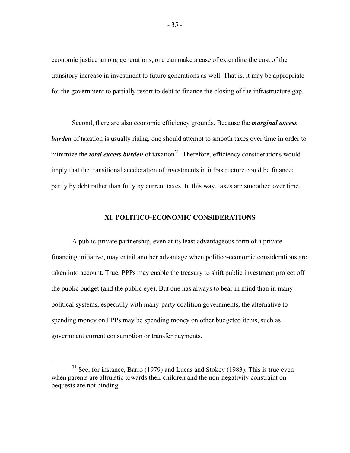economic justice among generations, one can make a case of extending the cost of the transitory increase in investment to future generations as well. That is, it may be appropriate for the government to partially resort to debt to finance the closing of the infrastructure gap.

Second, there are also economic efficiency grounds. Because the *marginal excess burden* of taxation is usually rising, one should attempt to smooth taxes over time in order to minimize the *total excess burden* of taxation<sup>31</sup>. Therefore, efficiency considerations would imply that the transitional acceleration of investments in infrastructure could be financed partly by debt rather than fully by current taxes. In this way, taxes are smoothed over time.

#### **XI. POLITICO-ECONOMIC CONSIDERATIONS**

A public-private partnership, even at its least advantageous form of a privatefinancing initiative, may entail another advantage when politico-economic considerations are taken into account. True, PPPs may enable the treasury to shift public investment project off the public budget (and the public eye). But one has always to bear in mind than in many political systems, especially with many-party coalition governments, the alternative to spending money on PPPs may be spending money on other budgeted items, such as government current consumption or transfer payments.

 $31$  See, for instance, Barro (1979) and Lucas and Stokey (1983). This is true even when parents are altruistic towards their children and the non-negativity constraint on bequests are not binding.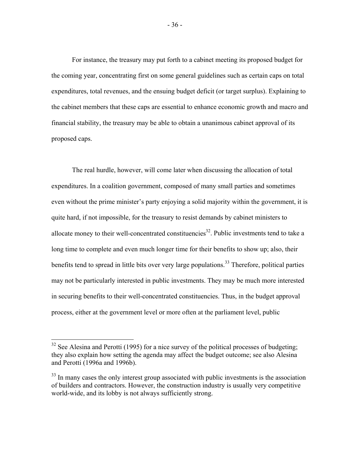For instance, the treasury may put forth to a cabinet meeting its proposed budget for the coming year, concentrating first on some general guidelines such as certain caps on total expenditures, total revenues, and the ensuing budget deficit (or target surplus). Explaining to the cabinet members that these caps are essential to enhance economic growth and macro and financial stability, the treasury may be able to obtain a unanimous cabinet approval of its proposed caps.

The real hurdle, however, will come later when discussing the allocation of total expenditures. In a coalition government, composed of many small parties and sometimes even without the prime minister's party enjoying a solid majority within the government, it is quite hard, if not impossible, for the treasury to resist demands by cabinet ministers to allocate money to their well-concentrated constituencies<sup>32</sup>. Public investments tend to take a long time to complete and even much longer time for their benefits to show up; also, their benefits tend to spread in little bits over very large populations.<sup>33</sup> Therefore, political parties may not be particularly interested in public investments. They may be much more interested in securing benefits to their well-concentrated constituencies. Thus, in the budget approval process, either at the government level or more often at the parliament level, public

 $32$  See Alesina and Perotti (1995) for a nice survey of the political processes of budgeting: they also explain how setting the agenda may affect the budget outcome; see also Alesina and Perotti (1996a and 1996b).

<sup>&</sup>lt;sup>33</sup> In many cases the only interest group associated with public investments is the association of builders and contractors. However, the construction industry is usually very competitive world-wide, and its lobby is not always sufficiently strong.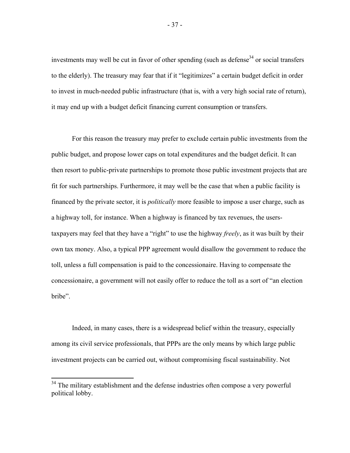investments may well be cut in favor of other spending (such as defense<sup>34</sup> or social transfers to the elderly). The treasury may fear that if it "legitimizes" a certain budget deficit in order to invest in much-needed public infrastructure (that is, with a very high social rate of return), it may end up with a budget deficit financing current consumption or transfers.

For this reason the treasury may prefer to exclude certain public investments from the public budget, and propose lower caps on total expenditures and the budget deficit. It can then resort to public-private partnerships to promote those public investment projects that are fit for such partnerships. Furthermore, it may well be the case that when a public facility is financed by the private sector, it is *politically* more feasible to impose a user charge, such as a highway toll, for instance. When a highway is financed by tax revenues, the userstaxpayers may feel that they have a "right" to use the highway *freely*, as it was built by their own tax money. Also, a typical PPP agreement would disallow the government to reduce the toll, unless a full compensation is paid to the concessionaire. Having to compensate the concessionaire, a government will not easily offer to reduce the toll as a sort of "an election bribe".

Indeed, in many cases, there is a widespread belief within the treasury, especially among its civil service professionals, that PPPs are the only means by which large public investment projects can be carried out, without compromising fiscal sustainability. Not

 $34$  The military establishment and the defense industries often compose a very powerful political lobby.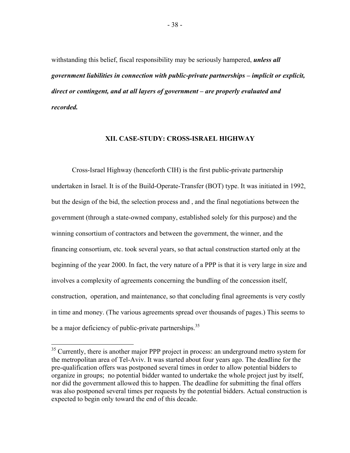withstanding this belief, fiscal responsibility may be seriously hampered, *unless all government liabilities in connection with public-private partnerships – implicit or explicit, direct or contingent, and at all layers of government – are properly evaluated and recorded.*

### **XII. CASE-STUDY: CROSS-ISRAEL HIGHWAY**

Cross-Israel Highway (henceforth CIH) is the first public-private partnership undertaken in Israel. It is of the Build-Operate-Transfer (BOT) type. It was initiated in 1992, but the design of the bid, the selection process and , and the final negotiations between the government (through a state-owned company, established solely for this purpose) and the winning consortium of contractors and between the government, the winner, and the financing consortium, etc. took several years, so that actual construction started only at the beginning of the year 2000. In fact, the very nature of a PPP is that it is very large in size and involves a complexity of agreements concerning the bundling of the concession itself, construction, operation, and maintenance, so that concluding final agreements is very costly in time and money. (The various agreements spread over thousands of pages.) This seems to be a major deficiency of public-private partnerships.<sup>35</sup>

 $35$  Currently, there is another major PPP project in process: an underground metro system for the metropolitan area of Tel-Aviv. It was started about four years ago. The deadline for the pre-qualification offers was postponed several times in order to allow potential bidders to organize in groups; no potential bidder wanted to undertake the whole project just by itself, nor did the government allowed this to happen. The deadline for submitting the final offers was also postponed several times per requests by the potential bidders. Actual construction is expected to begin only toward the end of this decade.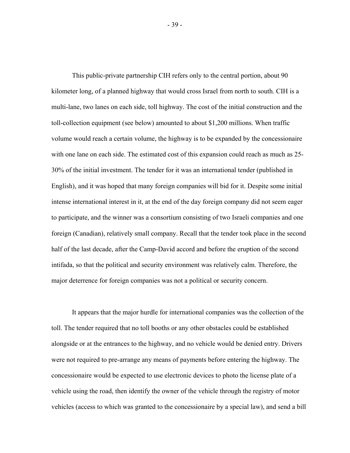This public-private partnership CIH refers only to the central portion, about 90 kilometer long, of a planned highway that would cross Israel from north to south. CIH is a multi-lane, two lanes on each side, toll highway. The cost of the initial construction and the toll-collection equipment (see below) amounted to about \$1,200 millions. When traffic volume would reach a certain volume, the highway is to be expanded by the concessionaire with one lane on each side. The estimated cost of this expansion could reach as much as 25- 30% of the initial investment. The tender for it was an international tender (published in English), and it was hoped that many foreign companies will bid for it. Despite some initial intense international interest in it, at the end of the day foreign company did not seem eager to participate, and the winner was a consortium consisting of two Israeli companies and one foreign (Canadian), relatively small company. Recall that the tender took place in the second half of the last decade, after the Camp-David accord and before the eruption of the second intifada, so that the political and security environment was relatively calm. Therefore, the major deterrence for foreign companies was not a political or security concern.

It appears that the major hurdle for international companies was the collection of the toll. The tender required that no toll booths or any other obstacles could be established alongside or at the entrances to the highway, and no vehicle would be denied entry. Drivers were not required to pre-arrange any means of payments before entering the highway. The concessionaire would be expected to use electronic devices to photo the license plate of a vehicle using the road, then identify the owner of the vehicle through the registry of motor vehicles (access to which was granted to the concessionaire by a special law), and send a bill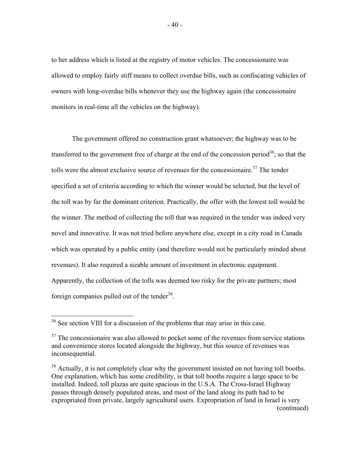to her address which is listed at the registry of motor vehicles. The concessionaire was allowed to employ fairly stiff means to collect overdue bills, such as confiscating vehicles of owners with long-overdue bills whenever they use the highway again (the concessionaire monitors in real-time all the vehicles on the highway).

The government offered no construction grant whatsoever; the highway was to be transferred to the government free of charge at the end of the concession period<sup>36</sup>; so that the tolls were the almost exclusive source of revenues for the concessionaire.<sup>37</sup> The tender specified a set of criteria according to which the winner would be selected, but the level of the toll was by far the dominant criterion. Practically, the offer with the lowest toll would be the winner. The method of collecting the toll that was required in the tender was indeed very novel and innovative. It was not tried before anywhere else, except in a city road in Canada which was operated by a public entity (and therefore would not be particularly minded about revenues). It also required a sizable amount of investment in electronic equipment. Apparently, the collection of the tolls was deemed too risky for the private partners; most foreign companies pulled out of the tender<sup>38</sup>.

 $36$  See section VIII for a discussion of the problems that may arise in this case.

 $37$  The concessionaire was also allowed to pocket some of the revenues from service stations and convenience stores located alongside the highway, but this source of revenues was inconsequential.

<sup>&</sup>lt;sup>38</sup> Actually, it is not completely clear why the government insisted on not having toll booths. One explanation, which has some credibility, is that toll booths require a large space to be installed. Indeed, toll plazas are quite spacious in the U.S.A. The Cross-Israel Highway passes through densely populated areas, and most of the land along its path had to be expropriated from private, largely agricultural users. Expropriation of land in Israel is very (continued)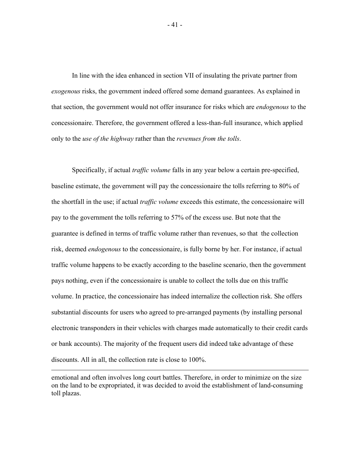In line with the idea enhanced in section VII of insulating the private partner from *exogenous* risks, the government indeed offered some demand guarantees. As explained in that section, the government would not offer insurance for risks which are *endogenous* to the concessionaire. Therefore, the government offered a less-than-full insurance, which applied only to the *use of the highway* rather than the *revenues from the tolls*.

Specifically, if actual *traffic volume* falls in any year below a certain pre-specified, baseline estimate, the government will pay the concessionaire the tolls referring to 80% of the shortfall in the use; if actual *traffic volume* exceeds this estimate, the concessionaire will pay to the government the tolls referring to 57% of the excess use. But note that the guarantee is defined in terms of traffic volume rather than revenues, so that the collection risk, deemed *endogenous* to the concessionaire, is fully borne by her. For instance, if actual traffic volume happens to be exactly according to the baseline scenario, then the government pays nothing, even if the concessionaire is unable to collect the tolls due on this traffic volume. In practice, the concessionaire has indeed internalize the collection risk. She offers substantial discounts for users who agreed to pre-arranged payments (by installing personal electronic transponders in their vehicles with charges made automatically to their credit cards or bank accounts). The majority of the frequent users did indeed take advantage of these discounts. All in all, the collection rate is close to 100%.

emotional and often involves long court battles. Therefore, in order to minimize on the size on the land to be expropriated, it was decided to avoid the establishment of land-consuming toll plazas.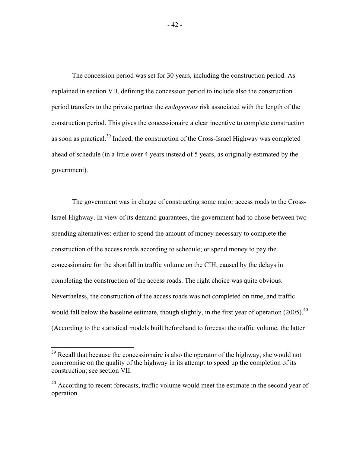The concession period was set for 30 years, including the construction period. As explained in section VII, defining the concession period to include also the construction period transfers to the private partner the *endogenous* risk associated with the length of the construction period. This gives the concessionaire a clear incentive to complete construction as soon as practical.<sup>39</sup> Indeed, the construction of the Cross-Israel Highway was completed ahead of schedule (in a little over 4 years instead of 5 years, as originally estimated by the government).

The government was in charge of constructing some major access roads to the Cross-Israel Highway. In view of its demand guarantees, the government had to chose between two spending alternatives: either to spend the amount of money necessary to complete the construction of the access roads according to schedule; or spend money to pay the concessionaire for the shortfall in traffic volume on the CIH, caused by the delays in completing the construction of the access roads. The right choice was quite obvious. Nevertheless, the construction of the access roads was not completed on time, and traffic would fall below the baseline estimate, though slightly, in the first year of operation (2005).<sup>40</sup> (According to the statistical models built beforehand to forecast the traffic volume, the latter

<u>.</u>

 $39$  Recall that because the concessionaire is also the operator of the highway, she would not compromise on the quality of the highway in its attempt to speed up the completion of its construction; see section VII.

<sup>&</sup>lt;sup>40</sup> According to recent forecasts, traffic volume would meet the estimate in the second year of operation.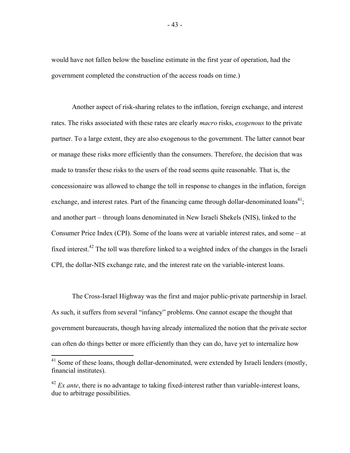would have not fallen below the baseline estimate in the first year of operation, had the government completed the construction of the access roads on time.)

Another aspect of risk-sharing relates to the inflation, foreign exchange, and interest rates. The risks associated with these rates are clearly *macro* risks, *exogenous* to the private partner. To a large extent, they are also exogenous to the government. The latter cannot bear or manage these risks more efficiently than the consumers. Therefore, the decision that was made to transfer these risks to the users of the road seems quite reasonable. That is, the concessionaire was allowed to change the toll in response to changes in the inflation, foreign exchange, and interest rates. Part of the financing came through dollar-denominated  $\text{loans}^{41}$ ; and another part – through loans denominated in New Israeli Shekels (NIS), linked to the Consumer Price Index (CPI). Some of the loans were at variable interest rates, and some – at fixed interest.<sup>42</sup> The toll was therefore linked to a weighted index of the changes in the Israeli CPI, the dollar-NIS exchange rate, and the interest rate on the variable-interest loans.

The Cross-Israel Highway was the first and major public-private partnership in Israel. As such, it suffers from several "infancy" problems. One cannot escape the thought that government bureaucrats, though having already internalized the notion that the private sector can often do things better or more efficiently than they can do, have yet to internalize how

1

 $41$  Some of these loans, though dollar-denominated, were extended by Israeli lenders (mostly, financial institutes).

 $^{42}$  *Ex ante*, there is no advantage to taking fixed-interest rather than variable-interest loans, due to arbitrage possibilities.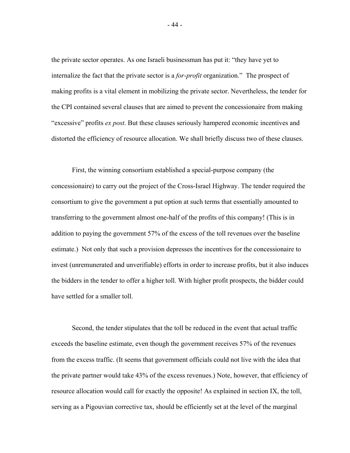the private sector operates. As one Israeli businessman has put it: "they have yet to internalize the fact that the private sector is a *for-profit* organization." The prospect of making profits is a vital element in mobilizing the private sector. Nevertheless, the tender for the CPI contained several clauses that are aimed to prevent the concessionaire from making "excessive" profits *ex post*. But these clauses seriously hampered economic incentives and distorted the efficiency of resource allocation. We shall briefly discuss two of these clauses.

First, the winning consortium established a special-purpose company (the concessionaire) to carry out the project of the Cross-Israel Highway. The tender required the consortium to give the government a put option at such terms that essentially amounted to transferring to the government almost one-half of the profits of this company! (This is in addition to paying the government 57% of the excess of the toll revenues over the baseline estimate.) Not only that such a provision depresses the incentives for the concessionaire to invest (unremunerated and unverifiable) efforts in order to increase profits, but it also induces the bidders in the tender to offer a higher toll. With higher profit prospects, the bidder could have settled for a smaller toll.

Second, the tender stipulates that the toll be reduced in the event that actual traffic exceeds the baseline estimate, even though the government receives 57% of the revenues from the excess traffic. (It seems that government officials could not live with the idea that the private partner would take 43% of the excess revenues.) Note, however, that efficiency of resource allocation would call for exactly the opposite! As explained in section IX, the toll, serving as a Pigouvian corrective tax, should be efficiently set at the level of the marginal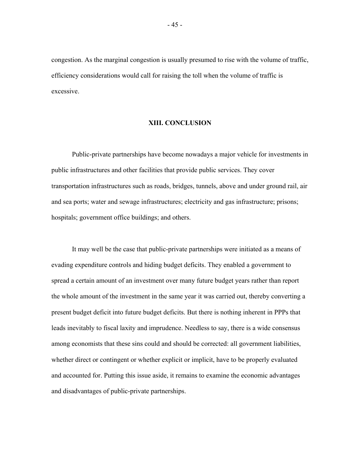congestion. As the marginal congestion is usually presumed to rise with the volume of traffic, efficiency considerations would call for raising the toll when the volume of traffic is excessive.

#### **XIII. CONCLUSION**

Public-private partnerships have become nowadays a major vehicle for investments in public infrastructures and other facilities that provide public services. They cover transportation infrastructures such as roads, bridges, tunnels, above and under ground rail, air and sea ports; water and sewage infrastructures; electricity and gas infrastructure; prisons; hospitals; government office buildings; and others.

It may well be the case that public-private partnerships were initiated as a means of evading expenditure controls and hiding budget deficits. They enabled a government to spread a certain amount of an investment over many future budget years rather than report the whole amount of the investment in the same year it was carried out, thereby converting a present budget deficit into future budget deficits. But there is nothing inherent in PPPs that leads inevitably to fiscal laxity and imprudence. Needless to say, there is a wide consensus among economists that these sins could and should be corrected: all government liabilities, whether direct or contingent or whether explicit or implicit, have to be properly evaluated and accounted for. Putting this issue aside, it remains to examine the economic advantages and disadvantages of public-private partnerships.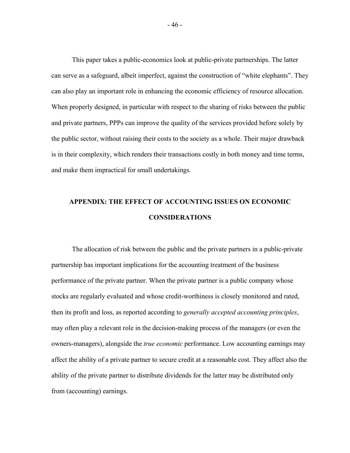This paper takes a public-economics look at public-private partnerships. The latter can serve as a safeguard, albeit imperfect, against the construction of "white elephants". They can also play an important role in enhancing the economic efficiency of resource allocation. When properly designed, in particular with respect to the sharing of risks between the public and private partners, PPPs can improve the quality of the services provided before solely by the public sector, without raising their costs to the society as a whole. Their major drawback is in their complexity, which renders their transactions costly in both money and time terms, and make them impractical for small undertakings.

## **APPENDIX: THE EFFECT OF ACCOUNTING ISSUES ON ECONOMIC CONSIDERATIONS**

The allocation of risk between the public and the private partners in a public-private partnership has important implications for the accounting treatment of the business performance of the private partner. When the private partner is a public company whose stocks are regularly evaluated and whose credit-worthiness is closely monitored and rated, then its profit and loss, as reported according to *generally accepted accounting principles*, may often play a relevant role in the decision-making process of the managers (or even the owners-managers), alongside the *true economic* performance. Low accounting earnings may affect the ability of a private partner to secure credit at a reasonable cost. They affect also the ability of the private partner to distribute dividends for the latter may be distributed only from (accounting) earnings.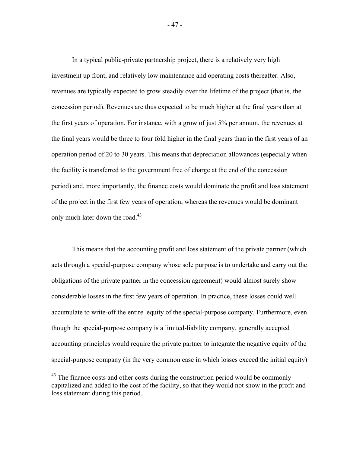In a typical public-private partnership project, there is a relatively very high investment up front, and relatively low maintenance and operating costs thereafter. Also, revenues are typically expected to grow steadily over the lifetime of the project (that is, the concession period). Revenues are thus expected to be much higher at the final years than at the first years of operation. For instance, with a grow of just 5% per annum, the revenues at the final years would be three to four fold higher in the final years than in the first years of an operation period of 20 to 30 years. This means that depreciation allowances (especially when the facility is transferred to the government free of charge at the end of the concession period) and, more importantly, the finance costs would dominate the profit and loss statement of the project in the first few years of operation, whereas the revenues would be dominant only much later down the road. $43$ 

This means that the accounting profit and loss statement of the private partner (which acts through a special-purpose company whose sole purpose is to undertake and carry out the obligations of the private partner in the concession agreement) would almost surely show considerable losses in the first few years of operation. In practice, these losses could well accumulate to write-off the entire equity of the special-purpose company. Furthermore, even though the special-purpose company is a limited-liability company, generally accepted accounting principles would require the private partner to integrate the negative equity of the special-purpose company (in the very common case in which losses exceed the initial equity)

 $43$  The finance costs and other costs during the construction period would be commonly capitalized and added to the cost of the facility, so that they would not show in the profit and loss statement during this period.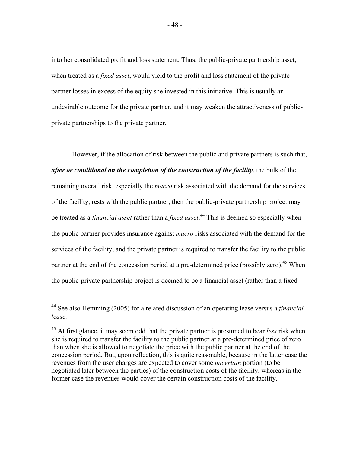into her consolidated profit and loss statement. Thus, the public-private partnership asset, when treated as a *fixed asset*, would yield to the profit and loss statement of the private partner losses in excess of the equity she invested in this initiative. This is usually an undesirable outcome for the private partner, and it may weaken the attractiveness of publicprivate partnerships to the private partner.

However, if the allocation of risk between the public and private partners is such that, *after or conditional on the completion of the construction of the facility*, the bulk of the remaining overall risk, especially the *macro* risk associated with the demand for the services of the facility, rests with the public partner, then the public-private partnership project may be treated as a *financial asset* rather than a *fixed asset*. 44 This is deemed so especially when the public partner provides insurance against *macro* risks associated with the demand for the services of the facility, and the private partner is required to transfer the facility to the public partner at the end of the concession period at a pre-determined price (possibly zero).<sup>45</sup> When the public-private partnership project is deemed to be a financial asset (rather than a fixed

<u>.</u>

<sup>44</sup> See also Hemming (2005) for a related discussion of an operating lease versus a *financial lease.* 

<sup>45</sup> At first glance, it may seem odd that the private partner is presumed to bear *less* risk when she is required to transfer the facility to the public partner at a pre-determined price of zero than when she is allowed to negotiate the price with the public partner at the end of the concession period. But, upon reflection, this is quite reasonable, because in the latter case the revenues from the user charges are expected to cover some *uncertain* portion (to be negotiated later between the parties) of the construction costs of the facility, whereas in the former case the revenues would cover the certain construction costs of the facility.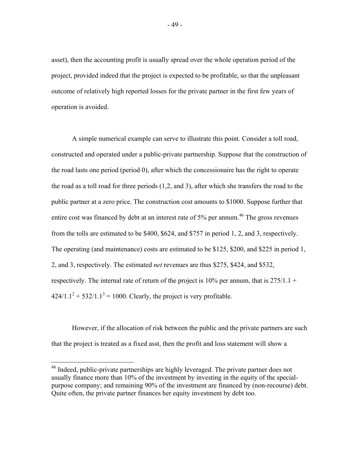asset), then the accounting profit is usually spread over the whole operation period of the project, provided indeed that the project is expected to be profitable, so that the unpleasant outcome of relatively high reported losses for the private partner in the first few years of operation is avoided.

A simple numerical example can serve to illustrate this point. Consider a toll road, constructed and operated under a public-private partnership. Suppose that the construction of the road lasts one period (period 0), after which the concessionaire has the right to operate the road as a toll road for three periods (1,2, and 3), after which she transfers the road to the public partner at a zero price. The construction cost amounts to \$1000. Suppose further that entire cost was financed by debt at an interest rate of 5% per annum.<sup>46</sup> The gross revenues from the tolls are estimated to be \$400, \$624, and \$757 in period 1, 2, and 3, respectively. The operating (and maintenance) costs are estimated to be \$125, \$200, and \$225 in period 1, 2, and 3, respectively. The estimated *net* revenues are thus \$275, \$424, and \$532, respectively. The internal rate of return of the project is 10% per annum, that is  $275/1.1 +$  $424/1.1^2 + 532/1.1^3 = 1000$ . Clearly, the project is very profitable.

However, if the allocation of risk between the public and the private partners are such that the project is treated as a fixed asst, then the profit and loss statement will show a

<sup>&</sup>lt;sup>46</sup> Indeed, public-private partnerships are highly leveraged. The private partner does not usually finance more than 10% of the investment by investing in the equity of the specialpurpose company; and remaining 90% of the investment are financed by (non-recourse) debt. Quite often, the private partner finances her equity investment by debt too.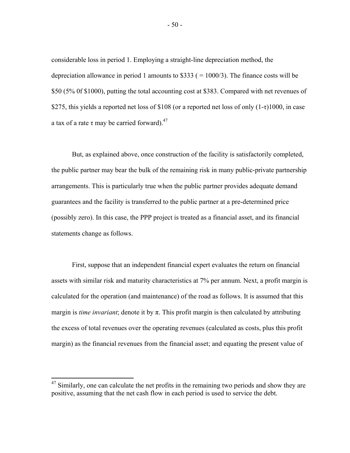considerable loss in period 1. Employing a straight-line depreciation method, the depreciation allowance in period 1 amounts to  $$333 (=1000/3)$ . The finance costs will be \$50 (5% 0f \$1000), putting the total accounting cost at \$383. Compared with net revenues of \$275, this yields a reported net loss of \$108 (or a reported net loss of only (1-τ)1000, in case a tax of a rate τ may be carried forward).<sup>47</sup>

But, as explained above, once construction of the facility is satisfactorily completed, the public partner may bear the bulk of the remaining risk in many public-private partnership arrangements. This is particularly true when the public partner provides adequate demand guarantees and the facility is transferred to the public partner at a pre-determined price (possibly zero). In this case, the PPP project is treated as a financial asset, and its financial statements change as follows.

First, suppose that an independent financial expert evaluates the return on financial assets with similar risk and maturity characteristics at 7% per annum. Next, a profit margin is calculated for the operation (and maintenance) of the road as follows. It is assumed that this margin is *time invariant*; denote it by  $\pi$ . This profit margin is then calculated by attributing the excess of total revenues over the operating revenues (calculated as costs, plus this profit margin) as the financial revenues from the financial asset; and equating the present value of

 $47$  Similarly, one can calculate the net profits in the remaining two periods and show they are positive, assuming that the net cash flow in each period is used to service the debt.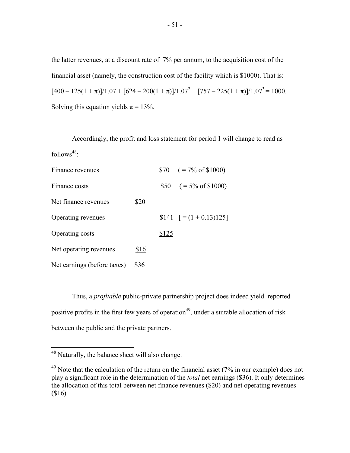the latter revenues, at a discount rate of 7% per annum, to the acquisition cost of the financial asset (namely, the construction cost of the facility which is \$1000). That is:  $[400 - 125(1 + \pi)]/1.07 + [624 - 200(1 + \pi)]/1.07^2 + [757 - 225(1 + \pi)]/1.07^3 = 1000.$ Solving this equation yields  $\pi = 13\%$ .

Accordingly, the profit and loss statement for period 1 will change to read as follows $48$ :

| Finance revenues            |      |       | $$70 \quad (= 7\% \text{ of } $1000)$ |
|-----------------------------|------|-------|---------------------------------------|
| Finance costs               |      |       | $$50 \quad (= 5\% \text{ of } $1000)$ |
| Net finance revenues        | \$20 |       |                                       |
| Operating revenues          |      |       | $$141$ $[=(1+0.13)125]$               |
| Operating costs             |      | \$125 |                                       |
| Net operating revenues      | \$16 |       |                                       |
| Net earnings (before taxes) | \$36 |       |                                       |

Thus, a *profitable* public-private partnership project does indeed yield reported positive profits in the first few years of operation<sup>49</sup>, under a suitable allocation of risk between the public and the private partners.

 $48$  Naturally, the balance sheet will also change.

 $49$  Note that the calculation of the return on the financial asset (7% in our example) does not play a significant role in the determination of the *total* net earnings (\$36). It only determines the allocation of this total between net finance revenues (\$20) and net operating revenues (\$16).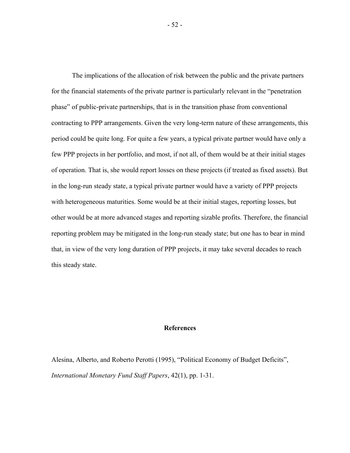The implications of the allocation of risk between the public and the private partners for the financial statements of the private partner is particularly relevant in the "penetration phase" of public-private partnerships, that is in the transition phase from conventional contracting to PPP arrangements. Given the very long-term nature of these arrangements, this period could be quite long. For quite a few years, a typical private partner would have only a few PPP projects in her portfolio, and most, if not all, of them would be at their initial stages of operation. That is, she would report losses on these projects (if treated as fixed assets). But in the long-run steady state, a typical private partner would have a variety of PPP projects with heterogeneous maturities. Some would be at their initial stages, reporting losses, but other would be at more advanced stages and reporting sizable profits. Therefore, the financial reporting problem may be mitigated in the long-run steady state; but one has to bear in mind that, in view of the very long duration of PPP projects, it may take several decades to reach this steady state.

### **References**

Alesina, Alberto, and Roberto Perotti (1995), "Political Economy of Budget Deficits", *International Monetary Fund Staff Papers*, 42(1), pp. 1-31.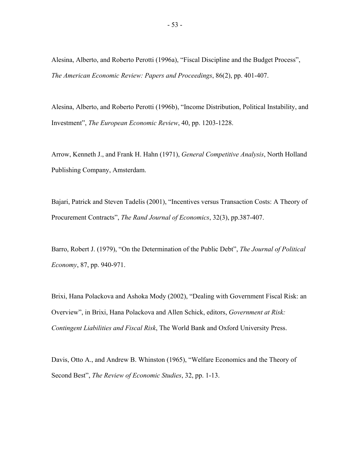Alesina, Alberto, and Roberto Perotti (1996a), "Fiscal Discipline and the Budget Process", *The American Economic Review: Papers and Proceedings*, 86(2), pp. 401-407.

Alesina, Alberto, and Roberto Perotti (1996b), "Income Distribution, Political Instability, and Investment", *The European Economic Review*, 40, pp. 1203-1228.

Arrow, Kenneth J., and Frank H. Hahn (1971), *General Competitive Analysis*, North Holland Publishing Company, Amsterdam.

Bajari, Patrick and Steven Tadelis (2001), "Incentives versus Transaction Costs: A Theory of Procurement Contracts", *The Rand Journal of Economics*, 32(3), pp.387-407.

Barro, Robert J. (1979), "On the Determination of the Public Debt", *The Journal of Political Economy*, 87, pp. 940-971.

Brixi, Hana Polackova and Ashoka Mody (2002), "Dealing with Government Fiscal Risk: an Overview", in Brixi, Hana Polackova and Allen Schick, editors, *Government at Risk: Contingent Liabilities and Fiscal Risk*, The World Bank and Oxford University Press.

Davis, Otto A., and Andrew B. Whinston (1965), "Welfare Economics and the Theory of Second Best", *The Review of Economic Studies*, 32, pp. 1-13.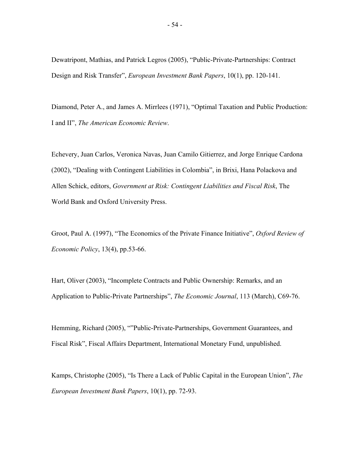Dewatripont, Mathias, and Patrick Legros (2005), "Public-Private-Partnerships: Contract Design and Risk Transfer", *European Investment Bank Papers*, 10(1), pp. 120-141.

Diamond, Peter A., and James A. Mirrlees (1971), "Optimal Taxation and Public Production: I and II", *The American Economic Review*.

Echevery, Juan Carlos, Veronica Navas, Juan Camilo Gitierrez, and Jorge Enrique Cardona (2002), "Dealing with Contingent Liabilities in Colombia", in Brixi, Hana Polackova and Allen Schick, editors, *Government at Risk: Contingent Liabilities and Fiscal Risk*, The World Bank and Oxford University Press.

Groot, Paul A. (1997), "The Economics of the Private Finance Initiative", *Oxford Review of Economic Policy*, 13(4), pp.53-66.

Hart, Oliver (2003), "Incomplete Contracts and Public Ownership: Remarks, and an Application to Public-Private Partnerships", *The Economic Journal*, 113 (March), C69-76.

Hemming, Richard (2005), ""Public-Private-Partnerships, Government Guarantees, and Fiscal Risk", Fiscal Affairs Department, International Monetary Fund, unpublished.

Kamps, Christophe (2005), "Is There a Lack of Public Capital in the European Union", *The European Investment Bank Papers*, 10(1), pp. 72-93.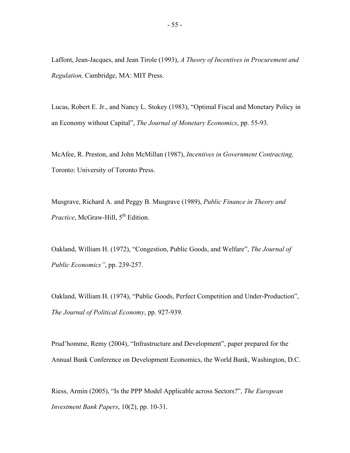Laffont, Jean-Jacques, and Jean Tirole (1993), *A Theory of Incentives in Procurement and Regulation,* Cambridge, MA: MIT Press.

Lucas, Robert E. Jr., and Nancy L. Stokey (1983), "Optimal Fiscal and Monetary Policy in an Economy without Capital", *The Journal of Monetary Economics*, pp. 55-93.

McAfee, R. Preston, and John McMillan (1987), *Incentives in Government Contracting,*  Toronto: University of Toronto Press.

Musgrave, Richard A. and Peggy B. Musgrave (1989), *Public Finance in Theory and Practice*, McGraw-Hill, 5<sup>th</sup> Edition.

Oakland, William H. (1972), "Congestion, Public Goods, and Welfare", *The Journal of Public Economics"*, pp. 239-257.

Oakland, William H. (1974), "Public Goods, Perfect Competition and Under-Production", *The Journal of Political Economy*, pp. 927-939.

Prud'homme, Remy (2004), "Infrastructure and Development", paper prepared for the Annual Bank Conference on Development Economics, the World Bank, Washington, D.C.

Riess, Armin (2005), "Is the PPP Model Applicable across Sectors?", *The European Investment Bank Papers*, 10(2), pp. 10-31.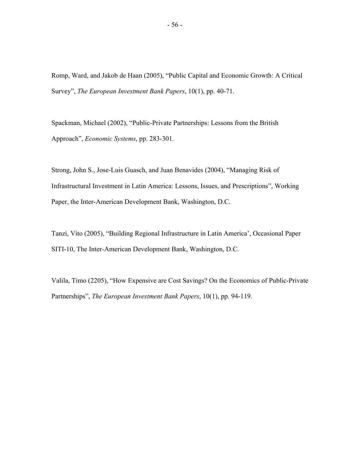Romp, Ward, and Jakob de Haan (2005), "Public Capital and Economic Growth: A Critical Survey", *The European Investment Bank Papers*, 10(1), pp. 40-71.

Spackman, Michael (2002), "Public-Private Partnerships: Lessons from the British Approach", *Economic Systems*, pp. 283-301.

Strong, John S., Jose-Luis Guasch, and Juan Benavides (2004), "Managing Risk of Infrastructural Investment in Latin America: Lessons, Issues, and Prescriptions", Working Paper, the Inter-American Development Bank, Washington, D.C.

Tanzi, Vito (2005), "Building Regional Infrastructure in Latin America', Occasional Paper SITI-10, The Inter-American Development Bank, Washington, D.C.

Valila, Timo (2205), "How Expensive are Cost Savings? On the Economics of Public-Private Partnerships", *The European Investment Bank Papers*, 10(1), pp. 94-119.